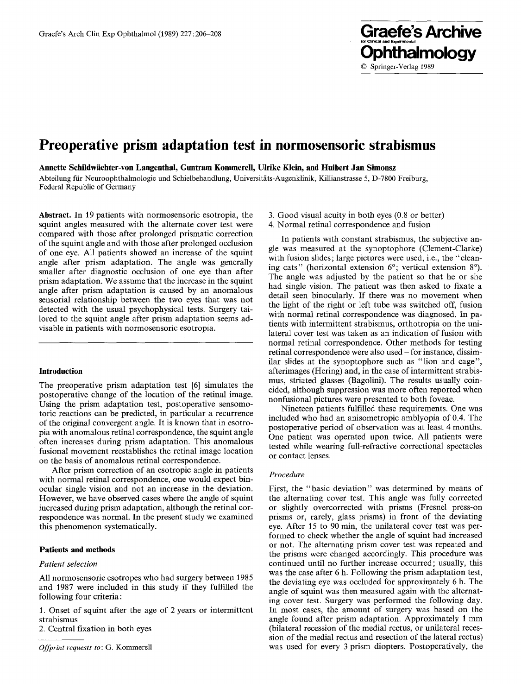# **Preoperative prism adaptation test in normosensoric strabismus**

Annette Schildwächter-von Langenthal, Guntram Kommerell, Ulrike Klein, and Huibert Jan Simonsz

Abteilung für Neuroophthalmologie und Schielbehandlung, Universitäts-Augenklinik, Killianstrasse 5, D-7800 Freiburg, Federal Republic of Germany

**Abstract.** In 19 patients with normosensoric esotropia, the squint angles measured with the alternate cover test were compared with those after prolonged prismatic correction of the squint angle and with those after prolonged occlusion of one eye. All patients showed an increase of the squint angle after prism adaptation. The angle was generally smaller after diagnostic occlusion of one eye than after prism adaptation. We assume that the increase in the squint angle after prism adaptation is caused by an anomalous sensorial relationship between the two eyes that was not detected with the usual psychophysical tests. Surgery tailored to the squint angle after prism adaptation seems advisable in patients with normosensoric esotropia.

# **Introduction**

The preoperative prism adaptation test [6] simulates the postoperative change of the location of the retinal image. Using the prism adaptation test, postoperative sensomotoric reactions can be predicted, in particular a recurrence of the original convergent angle. It is known that in esotropia with anomalous retinal correspondence, the squint angle often increases during prism adaptation. This anomalous fusional movement reestablishes the retinal image location on the basis of anomalous retinal correspondence.

After prism correction of an esotropic angle in patients with normal retinal correspondence, one would expect binocular single vision and not an increase in the deviation. However, we have observed cases where the angle of squint increased during prism adaptation, although the retinal correspondence was normal. In the present study we examined this phenomenon systematically.

# **Patients and methods**

### *Patient selection*

All normosensoric esotropes who had surgery between 1985 and 1987 were included in this study if they fulfilled the following four criteria:

1. Onset of squint after the age of 2 years or intermittent strabismus

2. Central fixation in both eyes

*Offprint requests to:* G. Kommerell

3. Good visual acuity in both eyes (0.8 or better)

**Ophthalmology** 

© Springer-Verlag 1989

4. Normal retinal correspondence and fusion

In patients with constant strabismus, the subjective angle was measured at the synoptophore (Clement-Clarke) with fusion slides; large pictures were used, i.e., the "cleaning cats" (horizontal extension 6°; vertical extension 8°). The angle was adjusted by the patient so that he or she had single vision. The patient was then asked to fixate a detail seen binocularly. If there was no movement when the light of the right or left tube was switched off, fusion with normal retinal correspondence was diagnosed. In patients with intermittent strabismus, orthotropia on the unilateral cover test was taken as an indication of fusion with normal retinal correspondence. Other methods for testing retinal correspondence were also used - for instance, dissimilar slides at the synoptophore such as "lion and cage", afterimages (Hering) and, in the case of intermittent strabismus, striated glasses (Bagolini). The results usually coincided, although suppression was more often reported when nonfusional pictures were presented to both foveae.

Nineteen patients fulfilled these requirements. One was included who had an anisometropic amblyopia of 0.4. The postoperative period of observation was at least 4 months. One patient was operated upon twice. All patients were tested while wearing full-refractive correctional spectacles or contact lenses.

#### *Procedure*

First, the "basic deviation" was determined by means of the alternating cover test. This angle was fully corrected or slightly overcorrected with prisms (Fresnel press-on prisms or, rarely, glass prisms) in front of the deviating eve. After 15 to 90 min, the unilateral cover test was performed to check whether the angle of squint had increased or not. The alternating prism cover test was repeated and the prisms were changed accordingly. This procedure was continued until no further increase occurred; usually, this was the case after 6 h. Following the prism adaptation test, the deviating eye was occluded for approximately 6 h. The angle of squint was then measured again with the alternating cover test. Surgery was performed the following day. In most cases, the amount of surgery was based on the angle found after prism adaptation. Approximately I mm (bilateral recession of the medial rectus, or unilateral recession of the medial rectus and resection of the lateral rectus) was used for every 3 prism diopters. Postoperatively, the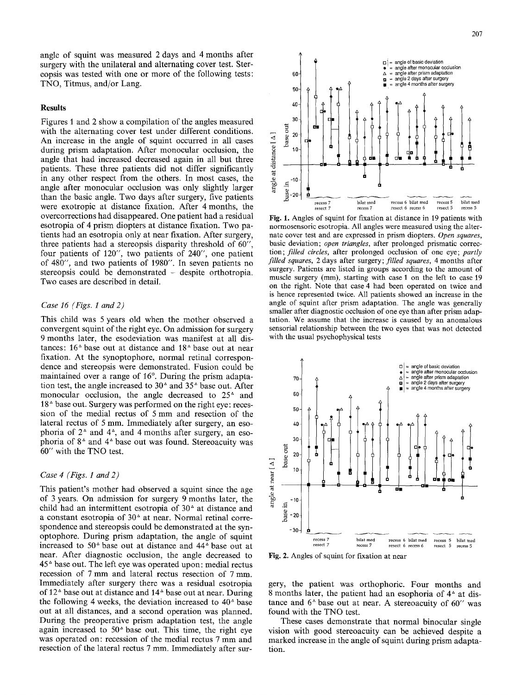angle of squint was measured 2 days and 4 months after surgery with the unilateral and alternating cover test. Stereopsis was tested with one or more of the following tests: TNO, Titmus, and/or Lang.

# **Results**

Figures 1 and 2 show a compilation of the angles measured with the alternating cover test under different conditions. An increase in the angle of squint occurred in all cases during prism adaptation. After monocular occlusion, the angle that had increased decreased again in all but three patients. These three patients did not differ significantly in any other respect from the others. In most cases, the angle after monocular occlusion was only slightly larger than the basic angle. Two days after surgery, five patients were exotropic at distance fixation. After 4 months, the overcorrections had disappeared. One patient had a residual esotropia of 4 prism diopters at distance fixation. Two patients had an esotropia only at near fixation. After surgery, three patients had a stereopsis disparity threshold of 60", four patients of 120", two patients of 240", one patient of 480", and two patients of 1980". In seven patients no stereopsis could be demonstrated - despite orthotropia. Two cases are described in detail.

### *Case 16 (Figs. 1 and 2)*

This child was 5 years old when the mother observed a convergent squint of the right eye. On admission for surgery 9 months later, the esodeviation was manifest at all distances:  $16^{\circ}$  base out at distance and  $18^{\circ}$  base out at near fixation. At the synoptophore, normal retinal correspondence and stereopsis were demonstrated. Fusion could be maintained over a range of 16°. During the prism adaptation test, the angle increased to  $30^\circ$  and  $35^\circ$  base out. After monocular occlusion, the angle decreased to  $25<sup>4</sup>$  and  $18<sup>4</sup>$  base out. Surgery was performed on the right eye: recession of the medial rectus of 5 mm and resection of the lateral rectus of 5 mm. Immediately after surgery, an esophoria of  $2^{\circ}$  and  $4^{\circ}$ , and 4 months after surgery, an esophoria of  $8^{\text{A}}$  and  $4^{\text{A}}$  base out was found. Stereoacuity was 60" with the TNO test.

## *Case 4 (Figs. 1 and 2)*

This patient's mother had observed a squint since the age of 3 years. On admission for surgery 9 months later, the child had an intermittent esotropia of  $30<sup>2</sup>$  at distance and a constant esotropia of  $30<sup>2</sup>$  at near. Normal retinal correspondence and stereopsis could be demonstrated at the synoptophore. During prism adaptation, the angle of squint increased to 50<sup>^</sup> base out at distance and 44<sup>^</sup> base out at near. After diagnostic occlusion, the angle decreased to  $45<sup>^</sup>$  base out. The left eye was operated upon: medial rectus recession of 7 mm and lateral rectus resection of 7 mm. Immediately after surgery there was a residual esotropia of  $12^{\circ}$  base out at distance and  $14^{\circ}$  base out at near. During the following 4 weeks, the deviation increased to  $40<sup>2</sup>$  base out at all distances, and a second operation was planned. During the preoperative prism adaptation test, the angle again increased to  $50^{\circ}$  base out. This time, the right eye was operated on: recession of the medial rectus 7 mm and resection of the lateral rectus 7 mm. Immediately after sur-



Fig. l. Angles of squint for fixation at distance in 19 patients with normosensoric esotropia. All angles were measured using the alternate cover test and are expressed in prism diopters. *Open squares,*  basic deviation; *open triangles,* after prolonged prismatic correction; *filled circles,* after prolonged occlusion of one eye; *partly filled squares,* 2 days after surgery; *filled squares,* 4 months after surgery. Patients are listed in groups according to the amount of muscle surgery (mm), starting with case 1 on the left to case 19 on the right. Note that case 4 had been operated on twice and is hence represented twice. All patients showed an increase in the angle of squint after prism adaptation. The angle was generally smaller after diagnostic occlusion of one eye than after prism adaptation. We assume that the increase is caused by an anomalous sensorial relationship between the two eyes that was not detected with the usual psychophysical tests



Fig. 2. Angles of squint for fixation at near

gery, the patient was orthophorie. Four months and 8 months later, the patient had an esophoria of  $4<sup>2</sup>$  at distance and  $6^{\circ}$  base out at near. A stereoacuity of  $60''$  was found with the TNO test.

These cases demonstrate that normal binocular single vision with good stereoacuity can be achieved despite a marked increase in the angle of squint during prism adaptation.